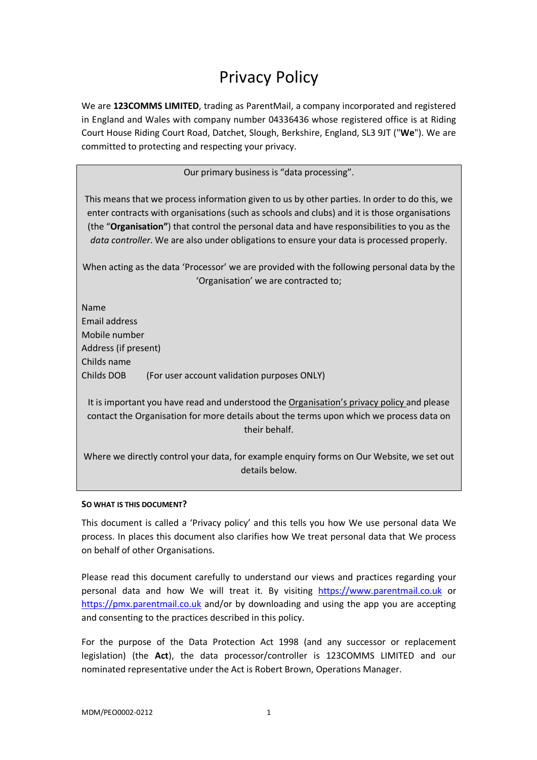# Privacy Policy

We are **123COMMS LIMITED**, trading as ParentMail, a company incorporated and registered in England and Wales with company number 04336436 whose registered office is at Riding Court House Riding Court Road, Datchet, Slough, Berkshire, England, SL3 9JT ("**We**"). We are committed to protecting and respecting your privacy.

Our primary business is "data processing".

This means that we process information given to us by other parties. In order to do this, we enter contracts with organisations (such as schools and clubs) and it is those organisations (the "**Organisation"**) that control the personal data and have responsibilities to you as the *data controller*. We are also under obligations to ensure your data is processed properly.

When acting as the data 'Processor' we are provided with the following personal data by the 'Organisation' we are contracted to;

Name Email address Mobile number Address (if present) Childs name Childs DOB (For user account validation purposes ONLY)

It is important you have read and understood the Organisation's privacy policy and please contact the Organisation for more details about the terms upon which we process data on their behalf.

Where we directly control your data, for example enquiry forms on Our Website, we set out details below.

## **SO WHAT IS THIS DOCUMENT?**

This document is called a 'Privacy policy' and this tells you how We use personal data We process. In places this document also clarifies how We treat personal data that We process on behalf of other Organisations.

Please read this document carefully to understand our views and practices regarding your personal data and how We will treat it. By visiting https://www.parentmail.co.uk or https://pmx.parentmail.co.uk and/or by downloading and using the app you are accepting and consenting to the practices described in this policy.

For the purpose of the Data Protection Act 1998 (and any successor or replacement legislation) (the **Act**), the data processor/controller is 123COMMS LIMITED and our nominated representative under the Act is Robert Brown, Operations Manager.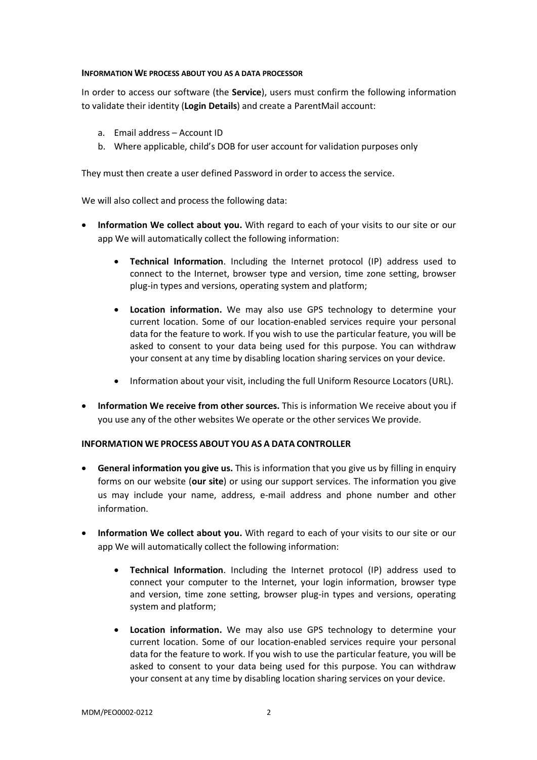#### **INFORMATION WE PROCESS ABOUT YOU AS A DATA PROCESSOR**

In order to access our software (the **Service**), users must confirm the following information to validate their identity (**Login Details**) and create a ParentMail account:

- a. Email address Account ID
- b. Where applicable, child's DOB for user account for validation purposes only

They must then create a user defined Password in order to access the service.

We will also collect and process the following data:

- **Information We collect about you.** With regard to each of your visits to our site or our app We will automatically collect the following information:
	- **Technical Information**. Including the Internet protocol (IP) address used to connect to the Internet, browser type and version, time zone setting, browser plug-in types and versions, operating system and platform;
	- **Location information.** We may also use GPS technology to determine your current location. Some of our location-enabled services require your personal data for the feature to work. If you wish to use the particular feature, you will be asked to consent to your data being used for this purpose. You can withdraw your consent at any time by disabling location sharing services on your device.
	- Information about your visit, including the full Uniform Resource Locators (URL).
- **Information We receive from other sources.** This is information We receive about you if you use any of the other websites We operate or the other services We provide.

## **INFORMATION WE PROCESS ABOUT YOU AS A DATA CONTROLLER**

- **General information you give us.** This is information that you give us by filling in enquiry forms on our website (**our site**) or using our support services. The information you give us may include your name, address, e-mail address and phone number and other information.
- **Information We collect about you.** With regard to each of your visits to our site or our app We will automatically collect the following information:
	- **Technical Information**. Including the Internet protocol (IP) address used to connect your computer to the Internet, your login information, browser type and version, time zone setting, browser plug-in types and versions, operating system and platform;
	- **Location information.** We may also use GPS technology to determine your current location. Some of our location-enabled services require your personal data for the feature to work. If you wish to use the particular feature, you will be asked to consent to your data being used for this purpose. You can withdraw your consent at any time by disabling location sharing services on your device.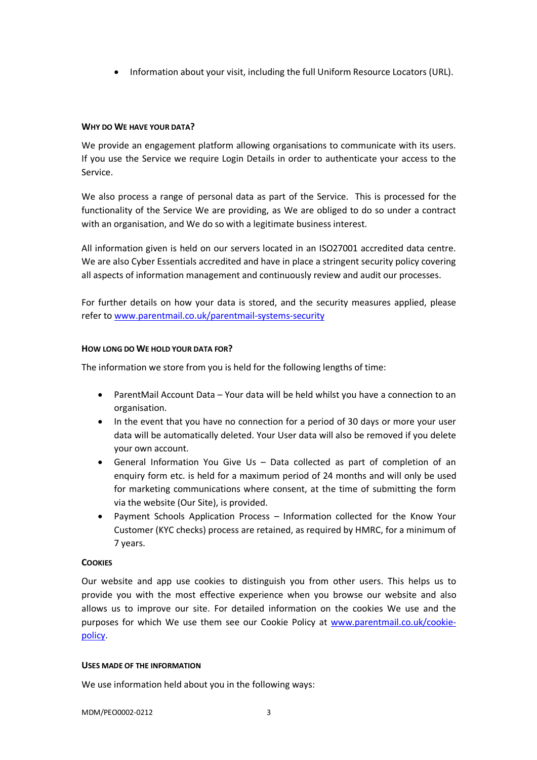• Information about your visit, including the full Uniform Resource Locators (URL).

## **WHY DO WE HAVE YOUR DATA?**

We provide an engagement platform allowing organisations to communicate with its users. If you use the Service we require Login Details in order to authenticate your access to the Service.

We also process a range of personal data as part of the Service. This is processed for the functionality of the Service We are providing, as We are obliged to do so under a contract with an organisation, and We do so with a legitimate business interest.

All information given is held on our servers located in an ISO27001 accredited data centre. We are also Cyber Essentials accredited and have in place a stringent security policy covering all aspects of information management and continuously review and audit our processes.

For further details on how your data is stored, and the security measures applied, please refer to www.parentmail.co.uk/parentmail-systems-security

## **HOW LONG DO WE HOLD YOUR DATA FOR?**

The information we store from you is held for the following lengths of time:

- ParentMail Account Data Your data will be held whilst you have a connection to an organisation.
- In the event that you have no connection for a period of 30 days or more your user data will be automatically deleted. Your User data will also be removed if you delete your own account.
- General Information You Give Us Data collected as part of completion of an enquiry form etc. is held for a maximum period of 24 months and will only be used for marketing communications where consent, at the time of submitting the form via the website (Our Site), is provided.
- Payment Schools Application Process Information collected for the Know Your Customer (KYC checks) process are retained, as required by HMRC, for a minimum of 7 years.

## **COOKIES**

Our website and app use cookies to distinguish you from other users. This helps us to provide you with the most effective experience when you browse our website and also allows us to improve our site. For detailed information on the cookies We use and the purposes for which We use them see our Cookie Policy at www.parentmail.co.uk/cookiepolicy.

## **USES MADE OF THE INFORMATION**

We use information held about you in the following ways: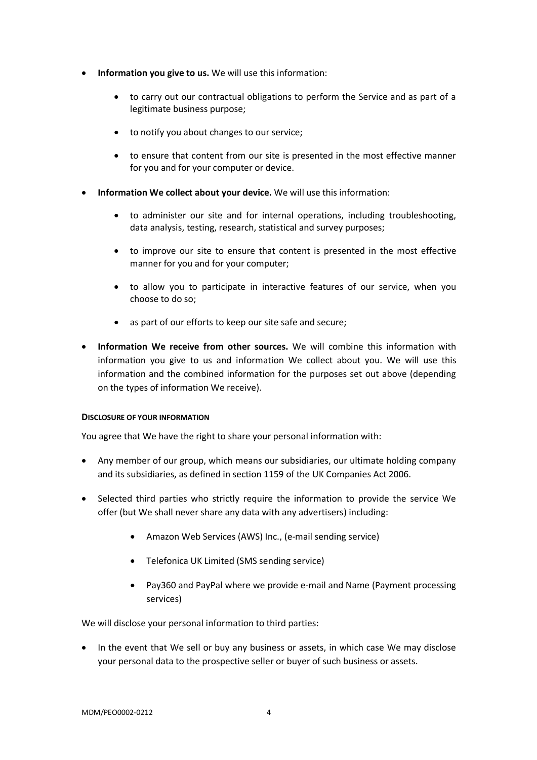- **Information you give to us.** We will use this information:
	- to carry out our contractual obligations to perform the Service and as part of a legitimate business purpose;
	- to notify you about changes to our service;
	- to ensure that content from our site is presented in the most effective manner for you and for your computer or device.
- **Information We collect about your device.** We will use this information:
	- to administer our site and for internal operations, including troubleshooting, data analysis, testing, research, statistical and survey purposes;
	- to improve our site to ensure that content is presented in the most effective manner for you and for your computer;
	- to allow you to participate in interactive features of our service, when you choose to do so;
	- as part of our efforts to keep our site safe and secure;
- **Information We receive from other sources.** We will combine this information with information you give to us and information We collect about you. We will use this information and the combined information for the purposes set out above (depending on the types of information We receive).

## **DISCLOSURE OF YOUR INFORMATION**

You agree that We have the right to share your personal information with:

- Any member of our group, which means our subsidiaries, our ultimate holding company and its subsidiaries, as defined in section 1159 of the UK Companies Act 2006.
- Selected third parties who strictly require the information to provide the service We offer (but We shall never share any data with any advertisers) including:
	- Amazon Web Services (AWS) Inc., (e-mail sending service)
	- Telefonica UK Limited (SMS sending service)
	- Pay360 and PayPal where we provide e-mail and Name (Payment processing services)

We will disclose your personal information to third parties:

• In the event that We sell or buy any business or assets, in which case We may disclose your personal data to the prospective seller or buyer of such business or assets.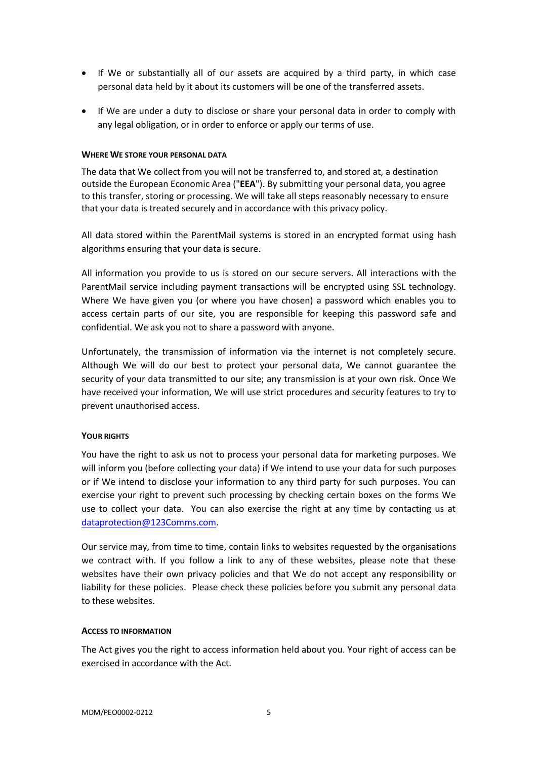- If We or substantially all of our assets are acquired by a third party, in which case personal data held by it about its customers will be one of the transferred assets.
- If We are under a duty to disclose or share your personal data in order to comply with any legal obligation, or in order to enforce or apply our terms of use.

#### **WHERE WE STORE YOUR PERSONAL DATA**

The data that We collect from you will not be transferred to, and stored at, a destination outside the European Economic Area ("**EEA**"). By submitting your personal data, you agree to this transfer, storing or processing. We will take all steps reasonably necessary to ensure that your data is treated securely and in accordance with this privacy policy.

All data stored within the ParentMail systems is stored in an encrypted format using hash algorithms ensuring that your data is secure.

All information you provide to us is stored on our secure servers. All interactions with the ParentMail service including payment transactions will be encrypted using SSL technology. Where We have given you (or where you have chosen) a password which enables you to access certain parts of our site, you are responsible for keeping this password safe and confidential. We ask you not to share a password with anyone.

Unfortunately, the transmission of information via the internet is not completely secure. Although We will do our best to protect your personal data, We cannot guarantee the security of your data transmitted to our site; any transmission is at your own risk. Once We have received your information, We will use strict procedures and security features to try to prevent unauthorised access.

## **YOUR RIGHTS**

You have the right to ask us not to process your personal data for marketing purposes. We will inform you (before collecting your data) if We intend to use your data for such purposes or if We intend to disclose your information to any third party for such purposes. You can exercise your right to prevent such processing by checking certain boxes on the forms We use to collect your data. You can also exercise the right at any time by contacting us at dataprotection@123Comms.com.

Our service may, from time to time, contain links to websites requested by the organisations we contract with. If you follow a link to any of these websites, please note that these websites have their own privacy policies and that We do not accept any responsibility or liability for these policies. Please check these policies before you submit any personal data to these websites.

#### **ACCESS TO INFORMATION**

The Act gives you the right to access information held about you. Your right of access can be exercised in accordance with the Act.